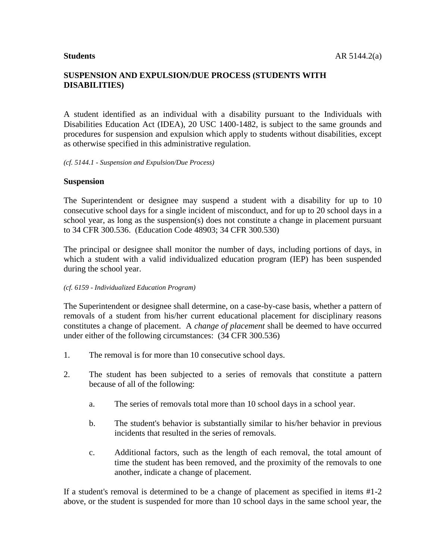A student identified as an individual with a disability pursuant to the Individuals with Disabilities Education Act (IDEA), 20 USC 1400-1482, is subject to the same grounds and procedures for suspension and expulsion which apply to students without disabilities, except as otherwise specified in this administrative regulation.

#### *(cf. 5144.1 - Suspension and Expulsion/Due Process)*

#### **Suspension**

The Superintendent or designee may suspend a student with a disability for up to 10 consecutive school days for a single incident of misconduct, and for up to 20 school days in a school year, as long as the suspension(s) does not constitute a change in placement pursuant to 34 CFR 300.536. (Education Code 48903; 34 CFR 300.530)

The principal or designee shall monitor the number of days, including portions of days, in which a student with a valid individualized education program (IEP) has been suspended during the school year.

#### *(cf. 6159 - Individualized Education Program)*

The Superintendent or designee shall determine, on a case-by-case basis, whether a pattern of removals of a student from his/her current educational placement for disciplinary reasons constitutes a change of placement. A *change of placement* shall be deemed to have occurred under either of the following circumstances: (34 CFR 300.536)

- 1. The removal is for more than 10 consecutive school days.
- 2. The student has been subjected to a series of removals that constitute a pattern because of all of the following:
	- a. The series of removals total more than 10 school days in a school year.
	- b. The student's behavior is substantially similar to his/her behavior in previous incidents that resulted in the series of removals.
	- c. Additional factors, such as the length of each removal, the total amount of time the student has been removed, and the proximity of the removals to one another, indicate a change of placement.

If a student's removal is determined to be a change of placement as specified in items #1-2 above, or the student is suspended for more than 10 school days in the same school year, the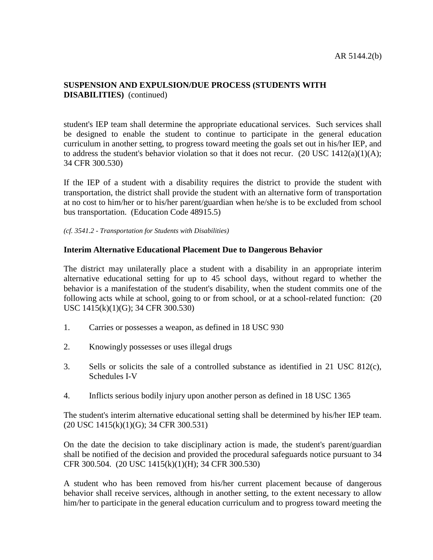student's IEP team shall determine the appropriate educational services. Such services shall be designed to enable the student to continue to participate in the general education curriculum in another setting, to progress toward meeting the goals set out in his/her IEP, and to address the student's behavior violation so that it does not recur.  $(20 \text{ USC } 1412(a)(1)(A))$ ; 34 CFR 300.530)

If the IEP of a student with a disability requires the district to provide the student with transportation, the district shall provide the student with an alternative form of transportation at no cost to him/her or to his/her parent/guardian when he/she is to be excluded from school bus transportation. (Education Code 48915.5)

*(cf. 3541.2 - Transportation for Students with Disabilities)*

#### **Interim Alternative Educational Placement Due to Dangerous Behavior**

The district may unilaterally place a student with a disability in an appropriate interim alternative educational setting for up to 45 school days, without regard to whether the behavior is a manifestation of the student's disability, when the student commits one of the following acts while at school, going to or from school, or at a school-related function: (20 USC 1415(k)(1)(G); 34 CFR 300.530)

- 1. Carries or possesses a weapon, as defined in 18 USC 930
- 2. Knowingly possesses or uses illegal drugs
- 3. Sells or solicits the sale of a controlled substance as identified in 21 USC 812(c), Schedules I-V
- 4. Inflicts serious bodily injury upon another person as defined in 18 USC 1365

The student's interim alternative educational setting shall be determined by his/her IEP team. (20 USC 1415(k)(1)(G); 34 CFR 300.531)

On the date the decision to take disciplinary action is made, the student's parent/guardian shall be notified of the decision and provided the procedural safeguards notice pursuant to 34 CFR 300.504. (20 USC 1415(k)(1)(H); 34 CFR 300.530)

A student who has been removed from his/her current placement because of dangerous behavior shall receive services, although in another setting, to the extent necessary to allow him/her to participate in the general education curriculum and to progress toward meeting the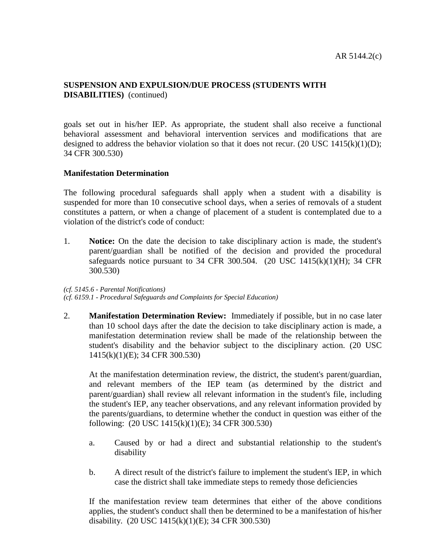goals set out in his/her IEP. As appropriate, the student shall also receive a functional behavioral assessment and behavioral intervention services and modifications that are designed to address the behavior violation so that it does not recur. (20 USC 1415(k)(1)(D); 34 CFR 300.530)

## **Manifestation Determination**

The following procedural safeguards shall apply when a student with a disability is suspended for more than 10 consecutive school days, when a series of removals of a student constitutes a pattern, or when a change of placement of a student is contemplated due to a violation of the district's code of conduct:

1. **Notice:** On the date the decision to take disciplinary action is made, the student's parent/guardian shall be notified of the decision and provided the procedural safeguards notice pursuant to 34 CFR 300.504. (20 USC  $1415(k)(1)(H)$ ; 34 CFR 300.530)

#### *(cf. 5145.6 - Parental Notifications)*

*(cf. 6159.1 - Procedural Safeguards and Complaints for Special Education)*

2. **Manifestation Determination Review:** Immediately if possible, but in no case later than 10 school days after the date the decision to take disciplinary action is made, a manifestation determination review shall be made of the relationship between the student's disability and the behavior subject to the disciplinary action. (20 USC 1415(k)(1)(E); 34 CFR 300.530)

At the manifestation determination review, the district, the student's parent/guardian, and relevant members of the IEP team (as determined by the district and parent/guardian) shall review all relevant information in the student's file, including the student's IEP, any teacher observations, and any relevant information provided by the parents/guardians, to determine whether the conduct in question was either of the following: (20 USC 1415(k)(1)(E); 34 CFR 300.530)

- a. Caused by or had a direct and substantial relationship to the student's disability
- b. A direct result of the district's failure to implement the student's IEP, in which case the district shall take immediate steps to remedy those deficiencies

If the manifestation review team determines that either of the above conditions applies, the student's conduct shall then be determined to be a manifestation of his/her disability. (20 USC 1415(k)(1)(E); 34 CFR 300.530)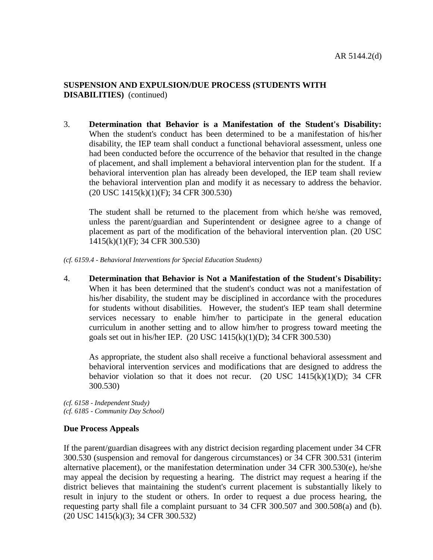3. **Determination that Behavior is a Manifestation of the Student's Disability:** When the student's conduct has been determined to be a manifestation of his/her disability, the IEP team shall conduct a functional behavioral assessment, unless one had been conducted before the occurrence of the behavior that resulted in the change of placement, and shall implement a behavioral intervention plan for the student. If a behavioral intervention plan has already been developed, the IEP team shall review the behavioral intervention plan and modify it as necessary to address the behavior. (20 USC 1415(k)(1)(F); 34 CFR 300.530)

The student shall be returned to the placement from which he/she was removed, unless the parent/guardian and Superintendent or designee agree to a change of placement as part of the modification of the behavioral intervention plan. (20 USC 1415(k)(1)(F); 34 CFR 300.530)

*(cf. 6159.4 - Behavioral Interventions for Special Education Students)*

4. **Determination that Behavior is Not a Manifestation of the Student's Disability:** When it has been determined that the student's conduct was not a manifestation of his/her disability, the student may be disciplined in accordance with the procedures for students without disabilities. However, the student's IEP team shall determine services necessary to enable him/her to participate in the general education curriculum in another setting and to allow him/her to progress toward meeting the goals set out in his/her IEP. (20 USC 1415(k)(1)(D); 34 CFR 300.530)

As appropriate, the student also shall receive a functional behavioral assessment and behavioral intervention services and modifications that are designed to address the behavior violation so that it does not recur. (20 USC  $1415(k)(1)(D)$ ; 34 CFR 300.530)

*(cf. 6158 - Independent Study) (cf. 6185 - Community Day School)*

#### **Due Process Appeals**

If the parent/guardian disagrees with any district decision regarding placement under 34 CFR 300.530 (suspension and removal for dangerous circumstances) or 34 CFR 300.531 (interim alternative placement), or the manifestation determination under 34 CFR 300.530(e), he/she may appeal the decision by requesting a hearing. The district may request a hearing if the district believes that maintaining the student's current placement is substantially likely to result in injury to the student or others. In order to request a due process hearing, the requesting party shall file a complaint pursuant to 34 CFR 300.507 and 300.508(a) and (b). (20 USC 1415(k)(3); 34 CFR 300.532)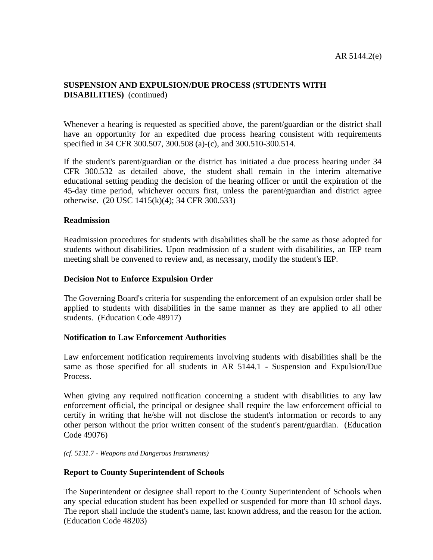Whenever a hearing is requested as specified above, the parent/guardian or the district shall have an opportunity for an expedited due process hearing consistent with requirements specified in 34 CFR 300.507, 300.508 (a)-(c), and 300.510-300.514.

If the student's parent/guardian or the district has initiated a due process hearing under 34 CFR 300.532 as detailed above, the student shall remain in the interim alternative educational setting pending the decision of the hearing officer or until the expiration of the 45-day time period, whichever occurs first, unless the parent/guardian and district agree otherwise. (20 USC 1415(k)(4); 34 CFR 300.533)

#### **Readmission**

Readmission procedures for students with disabilities shall be the same as those adopted for students without disabilities. Upon readmission of a student with disabilities, an IEP team meeting shall be convened to review and, as necessary, modify the student's IEP.

#### **Decision Not to Enforce Expulsion Order**

The Governing Board's criteria for suspending the enforcement of an expulsion order shall be applied to students with disabilities in the same manner as they are applied to all other students. (Education Code 48917)

## **Notification to Law Enforcement Authorities**

Law enforcement notification requirements involving students with disabilities shall be the same as those specified for all students in AR 5144.1 - Suspension and Expulsion/Due Process.

When giving any required notification concerning a student with disabilities to any law enforcement official, the principal or designee shall require the law enforcement official to certify in writing that he/she will not disclose the student's information or records to any other person without the prior written consent of the student's parent/guardian. (Education Code 49076)

*(cf. 5131.7 - Weapons and Dangerous Instruments)*

## **Report to County Superintendent of Schools**

The Superintendent or designee shall report to the County Superintendent of Schools when any special education student has been expelled or suspended for more than 10 school days. The report shall include the student's name, last known address, and the reason for the action. (Education Code 48203)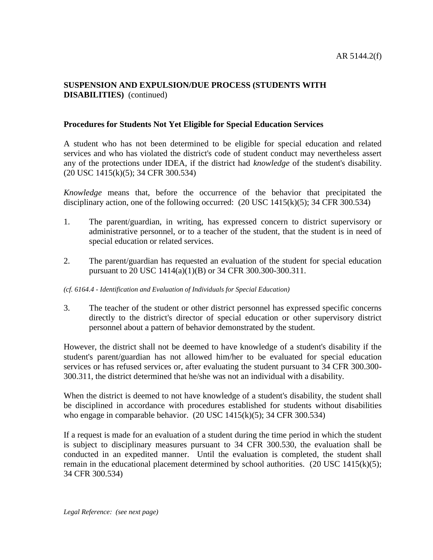## **Procedures for Students Not Yet Eligible for Special Education Services**

A student who has not been determined to be eligible for special education and related services and who has violated the district's code of student conduct may nevertheless assert any of the protections under IDEA, if the district had *knowledge* of the student's disability. (20 USC 1415(k)(5); 34 CFR 300.534)

*Knowledge* means that, before the occurrence of the behavior that precipitated the disciplinary action, one of the following occurred:  $(20 \text{ USC } 1415(k)(5); 34 \text{ CFR } 300.534)$ 

- 1. The parent/guardian, in writing, has expressed concern to district supervisory or administrative personnel, or to a teacher of the student, that the student is in need of special education or related services.
- 2. The parent/guardian has requested an evaluation of the student for special education pursuant to 20 USC 1414(a)(1)(B) or 34 CFR 300.300-300.311.

#### *(cf. 6164.4 - Identification and Evaluation of Individuals for Special Education)*

3. The teacher of the student or other district personnel has expressed specific concerns directly to the district's director of special education or other supervisory district personnel about a pattern of behavior demonstrated by the student.

However, the district shall not be deemed to have knowledge of a student's disability if the student's parent/guardian has not allowed him/her to be evaluated for special education services or has refused services or, after evaluating the student pursuant to 34 CFR 300.300- 300.311, the district determined that he/she was not an individual with a disability.

When the district is deemed to not have knowledge of a student's disability, the student shall be disciplined in accordance with procedures established for students without disabilities who engage in comparable behavior.  $(20 \text{ USC } 1415(k)(5); 34 \text{ CFR } 300.534)$ 

If a request is made for an evaluation of a student during the time period in which the student is subject to disciplinary measures pursuant to 34 CFR 300.530, the evaluation shall be conducted in an expedited manner. Until the evaluation is completed, the student shall remain in the educational placement determined by school authorities.  $(20 \text{ USC } 1415(k)(5))$ ; 34 CFR 300.534)